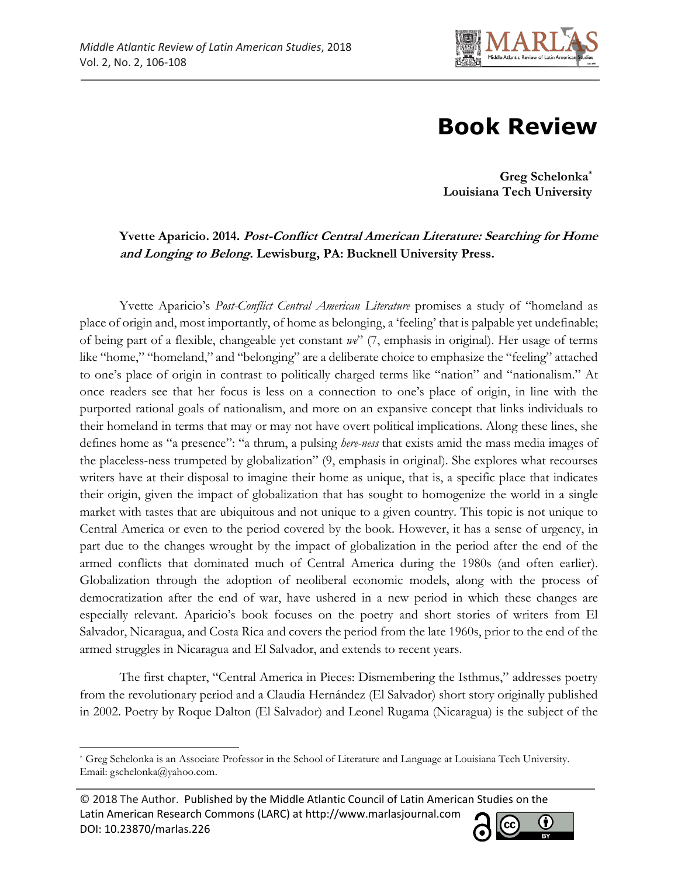

## **Book Review**

**Greg Schelonka\* Louisiana Tech University**

## **Yvette Aparicio. 2014. Post-Conflict Central American Literature: Searching for Home and Longing to Belong. Lewisburg, PA: Bucknell University Press.**

Yvette Aparicio's *Post-Conflict Central American Literature* promises a study of "homeland as place of origin and, most importantly, of home as belonging, a 'feeling' that is palpable yet undefinable; of being part of a flexible, changeable yet constant *we*" (7, emphasis in original). Her usage of terms like "home," "homeland," and "belonging" are a deliberate choice to emphasize the "feeling" attached to one's place of origin in contrast to politically charged terms like "nation" and "nationalism." At once readers see that her focus is less on a connection to one's place of origin, in line with the purported rational goals of nationalism, and more on an expansive concept that links individuals to their homeland in terms that may or may not have overt political implications. Along these lines, she defines home as "a presence": "a thrum, a pulsing *here-ness* that exists amid the mass media images of the placeless-ness trumpeted by globalization" (9, emphasis in original). She explores what recourses writers have at their disposal to imagine their home as unique, that is, a specific place that indicates their origin, given the impact of globalization that has sought to homogenize the world in a single market with tastes that are ubiquitous and not unique to a given country. This topic is not unique to Central America or even to the period covered by the book. However, it has a sense of urgency, in part due to the changes wrought by the impact of globalization in the period after the end of the armed conflicts that dominated much of Central America during the 1980s (and often earlier). Globalization through the adoption of neoliberal economic models, along with the process of democratization after the end of war, have ushered in a new period in which these changes are especially relevant. Aparicio's book focuses on the poetry and short stories of writers from El Salvador, Nicaragua, and Costa Rica and covers the period from the late 1960s, prior to the end of the armed struggles in Nicaragua and El Salvador, and extends to recent years.

The first chapter, "Central America in Pieces: Dismembering the Isthmus," addresses poetry from the revolutionary period and a Claudia Hernández (El Salvador) short story originally published in 2002. Poetry by Roque Dalton (El Salvador) and Leonel Rugama (Nicaragua) is the subject of the

<sup>© 2018</sup> The Author. Published by the Middle Atlantic Council of Latin American Studies on the Latin American Research Commons (LARC) at http://www.marlasjournal.com **CC** DOI: [10.23870/marlas.226](https://doi.org/10.23870/marlas.226)



l \* Greg Schelonka is an Associate Professor in the School of Literature and Language at Louisiana Tech University. Email: gschelonka@yahoo.com.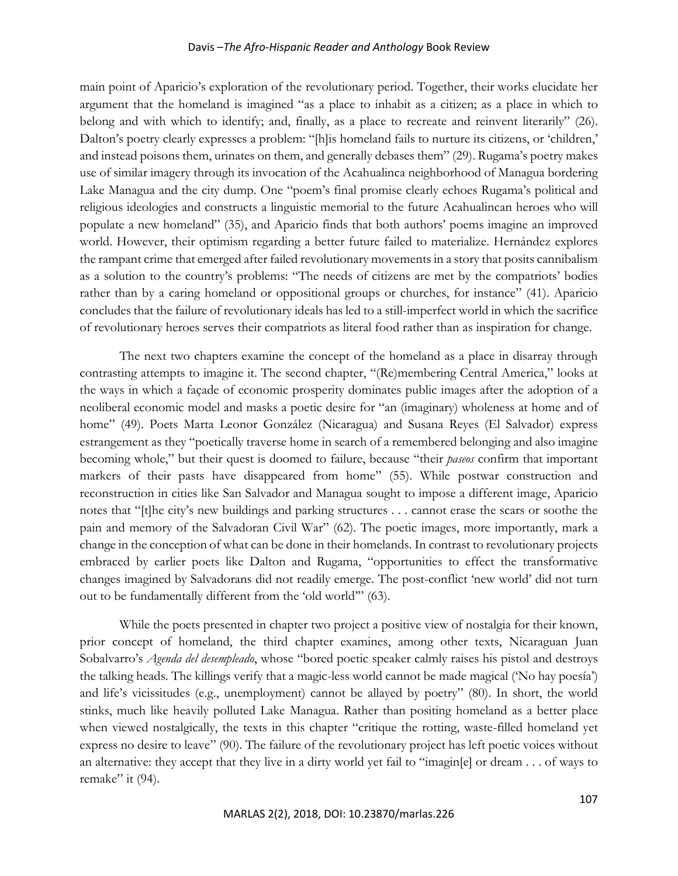## Davis –*The Afro-Hispanic Reader and Anthology* Book Review

main point of Aparicio's exploration of the revolutionary period. Together, their works elucidate her argument that the homeland is imagined "as a place to inhabit as a citizen; as a place in which to belong and with which to identify; and, finally, as a place to recreate and reinvent literarily" (26). Dalton's poetry clearly expresses a problem: "[h]is homeland fails to nurture its citizens, or 'children,' and instead poisons them, urinates on them, and generally debases them" (29). Rugama's poetry makes use of similar imagery through its invocation of the Acahualinca neighborhood of Managua bordering Lake Managua and the city dump. One "poem's final promise clearly echoes Rugama's political and religious ideologies and constructs a linguistic memorial to the future Acahualincan heroes who will populate a new homeland" (35), and Aparicio finds that both authors' poems imagine an improved world. However, their optimism regarding a better future failed to materialize. Hernández explores the rampant crime that emerged after failed revolutionary movements in a story that posits cannibalism as a solution to the country's problems: "The needs of citizens are met by the compatriots' bodies rather than by a caring homeland or oppositional groups or churches, for instance" (41). Aparicio concludes that the failure of revolutionary ideals has led to a still-imperfect world in which the sacrifice of revolutionary heroes serves their compatriots as literal food rather than as inspiration for change.

The next two chapters examine the concept of the homeland as a place in disarray through contrasting attempts to imagine it. The second chapter, "(Re)membering Central America," looks at the ways in which a façade of economic prosperity dominates public images after the adoption of a neoliberal economic model and masks a poetic desire for "an (imaginary) wholeness at home and of home" (49). Poets Marta Leonor González (Nicaragua) and Susana Reyes (El Salvador) express estrangement as they "poetically traverse home in search of a remembered belonging and also imagine becoming whole," but their quest is doomed to failure, because "their *paseos* confirm that important markers of their pasts have disappeared from home" (55). While postwar construction and reconstruction in cities like San Salvador and Managua sought to impose a different image, Aparicio notes that "[t]he city's new buildings and parking structures . . . cannot erase the scars or soothe the pain and memory of the Salvadoran Civil War" (62). The poetic images, more importantly, mark a change in the conception of what can be done in their homelands. In contrast to revolutionary projects embraced by earlier poets like Dalton and Rugama, "opportunities to effect the transformative changes imagined by Salvadorans did not readily emerge. The post-conflict 'new world' did not turn out to be fundamentally different from the 'old world'" (63).

While the poets presented in chapter two project a positive view of nostalgia for their known, prior concept of homeland, the third chapter examines, among other texts, Nicaraguan Juan Sobalvarro's *Agenda del desempleado*, whose "bored poetic speaker calmly raises his pistol and destroys the talking heads. The killings verify that a magic-less world cannot be made magical ('No hay poesía') and life's vicissitudes (e.g., unemployment) cannot be allayed by poetry" (80). In short, the world stinks, much like heavily polluted Lake Managua. Rather than positing homeland as a better place when viewed nostalgically, the texts in this chapter "critique the rotting, waste-filled homeland yet express no desire to leave" (90). The failure of the revolutionary project has left poetic voices without an alternative: they accept that they live in a dirty world yet fail to "imagin[e] or dream . . . of ways to remake" it (94).